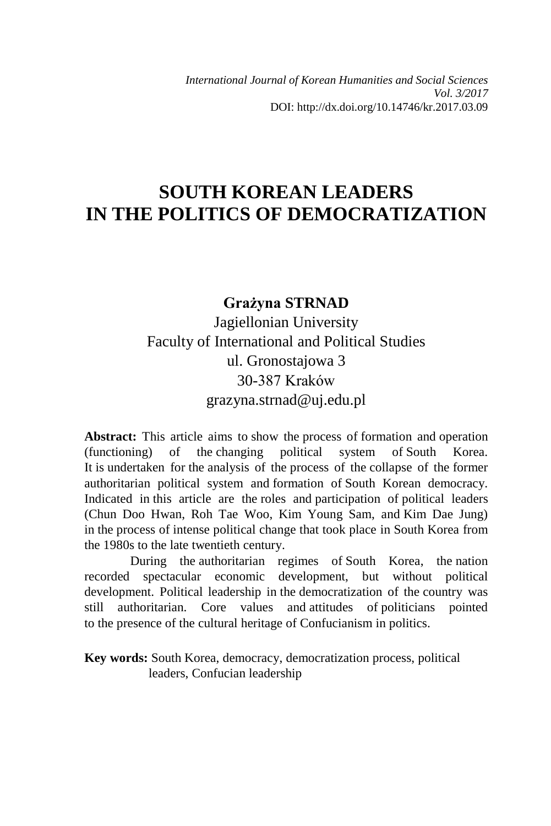*International Journal of Korean Humanities and Social Sciences Vol. 3/2017* DOI: http://dx.doi.org/10.14746/kr.2017.03.09

# **SOUTH KOREAN LEADERS IN THE POLITICS OF DEMOCRATIZATION**

# **Grażyna STRNAD** Jagiellonian University Faculty of International and Political Studies ul. Gronostajowa 3 30-387 Kraków grazyna.strnad@uj.edu.pl

**Abstract:** This article aims to show the process of formation and operation (functioning) of the changing political system of South Korea. It is undertaken for the analysis of the process of the collapse of the former authoritarian political system and formation of South Korean democracy. Indicated in this article are the roles and participation of political leaders (Chun Doo Hwan, Roh Tae Woo, Kim Young Sam, and Kim Dae Jung) in the process of intense political change that took place in South Korea from the 1980s to the late twentieth century.

During the authoritarian regimes of South Korea, the nation recorded spectacular economic development, but without political development. Political leadership in the democratization of the country was still authoritarian. Core values and attitudes of politicians pointed to the presence of the cultural heritage of Confucianism in politics.

**Key words:** South Korea, democracy, democratization process, political leaders, Confucian leadership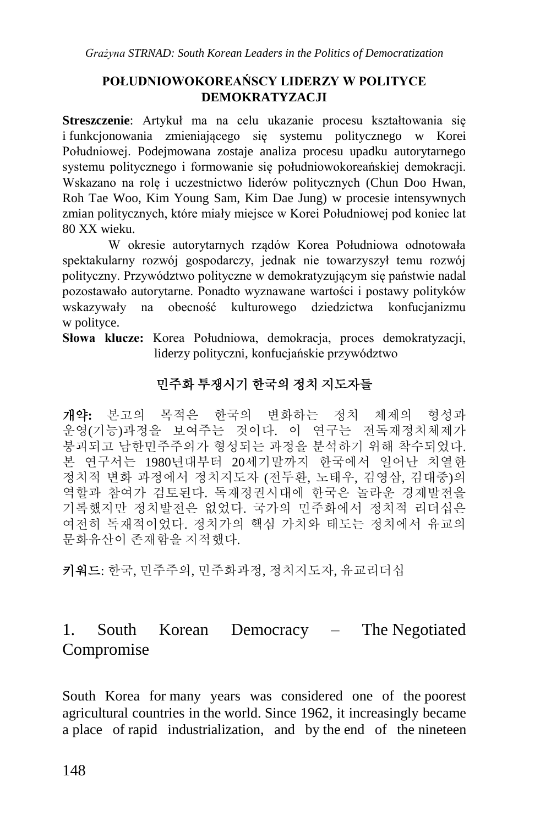#### **POŁUDNIOWOKOREAŃSCY LIDERZY W POLITYCE DEMOKRATYZACJI**

**Streszczenie**: Artykuł ma na celu ukazanie procesu kształtowania się i funkcjonowania zmieniającego się systemu politycznego w Korei Południowej. Podejmowana zostaje analiza procesu upadku autorytarnego systemu politycznego i formowanie się południowokoreańskiej demokracji. Wskazano na rolę i uczestnictwo liderów politycznych (Chun Doo Hwan, Roh Tae Woo, Kim Young Sam, Kim Dae Jung) w procesie intensywnych zmian politycznych, które miały miejsce w Korei Południowej pod koniec lat 80 XX wieku.

W okresie autorytarnych rządów Korea Południowa odnotowała spektakularny rozwój gospodarczy, jednak nie towarzyszył temu rozwój polityczny. Przywództwo polityczne w demokratyzującym się państwie nadal pozostawało autorytarne. Ponadto wyznawane wartości i postawy polityków wskazywały na obecność kulturowego dziedzictwa konfucjanizmu w polityce.

**Słowa klucze:** Korea Południowa, demokracja, proces demokratyzacji, liderzy polityczni, konfucjańskie przywództwo

# 민주화 투쟁시기 한국의 정치 지도자들

개약**:** 본고의 목적은 한국의 변화하는 정치 체제의 형성과 운영(기능)과정을 보여주는 것이다. 이 연구는 전독재정치체제가 붕괴되고 남한민주주의가 형성되는 과정을 분석하기 위해 착수되었다. 본 연구서는 1980년대부터 20세기말까지 한국에서 일어난 치열한 정치적 변화 과정에서 정치지도자 (전두환, 노태우, 김영삼, 김대중)의 역할과 참여가 검토된다. 독재정권시대에 한국은 놀라운 경제발전을 기록했지만 정치발전은 없었다. 국가의 민주화에서 정치적 리더십은 여전히 독재적이었다. 정치가의 핵심 가치와 태도는 정치에서 유교의 문화유산이 존재함을 지적했다.

키워드: 한국, 민주주의, 민주화과정, 정치지도자, 유교리더십

# 1. South Korean Democracy – The Negotiated Compromise

South Korea for many years was considered one of the poorest agricultural countries in the world. Since 1962, it increasingly became a place of rapid industrialization, and by the end of the nineteen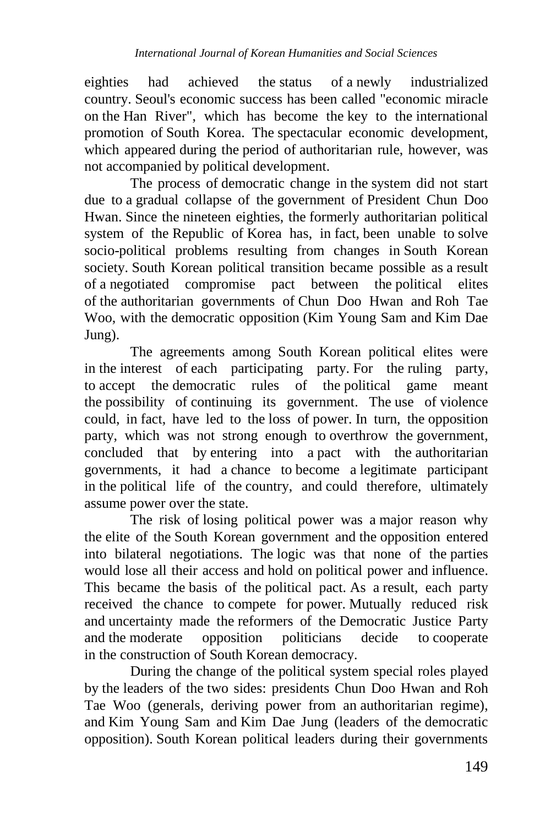eighties had achieved the status of a newly industrialized country. Seoul's economic success has been called "economic miracle on the Han River", which has become the key to the international promotion of South Korea. The spectacular economic development, which appeared during the period of authoritarian rule, however, was not accompanied by political development.

The process of democratic change in the system did not start due to a gradual collapse of the government of President Chun Doo Hwan. Since the nineteen eighties, the formerly authoritarian political system of the Republic of Korea has, in fact, been unable to solve socio-political problems resulting from changes in South Korean society. South Korean political transition became possible as a result of a negotiated compromise pact between the political elites of the authoritarian governments of Chun Doo Hwan and Roh Tae Woo, with the democratic opposition (Kim Young Sam and Kim Dae Jung).

The agreements among South Korean political elites were in the interest of each participating party. For the ruling party, to accept the democratic rules of the political game meant the possibility of continuing its government. The use of violence could, in fact, have led to the loss of power. In turn, the opposition party, which was not strong enough to overthrow the government, concluded that by entering into a pact with the authoritarian governments, it had a chance to become a legitimate participant in the political life of the country, and could therefore, ultimately assume power over the state.

The risk of losing political power was a major reason why the elite of the South Korean government and the opposition entered into bilateral negotiations. The logic was that none of the parties would lose all their access and hold on political power and influence. This became the basis of the political pact. As a result, each party received the chance to compete for power. Mutually reduced risk and uncertainty made the reformers of the Democratic Justice Party and the moderate opposition politicians decide to cooperate in the construction of South Korean democracy.

During the change of the political system special roles played by the leaders of the two sides: presidents Chun Doo Hwan and Roh Tae Woo (generals, deriving power from an authoritarian regime), and Kim Young Sam and Kim Dae Jung (leaders of the democratic opposition). South Korean political leaders during their governments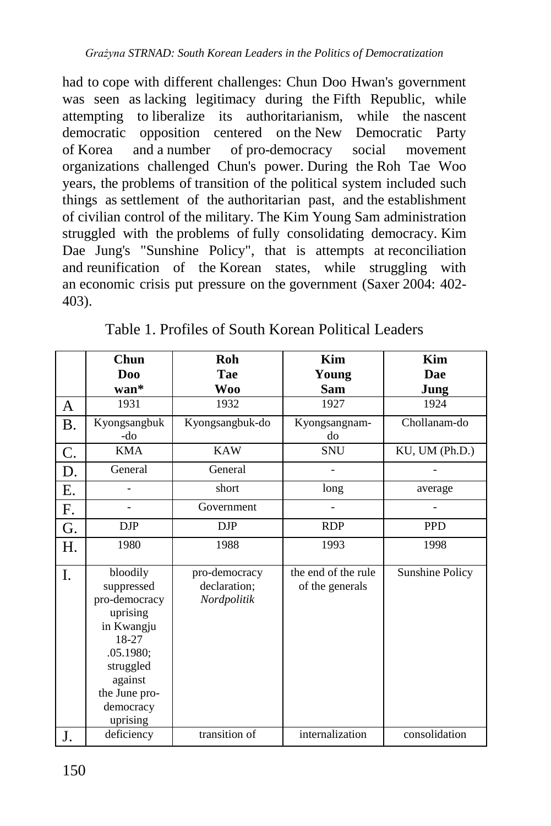had to cope with different challenges: Chun Doo Hwan's government was seen as lacking legitimacy during the Fifth Republic, while attempting to liberalize its authoritarianism, while the nascent democratic opposition centered on the New Democratic Party of Korea and a number of pro-democracy social movement organizations challenged Chun's power. During the Roh Tae Woo years, the problems of transition of the political system included such things as settlement of the authoritarian past, and the establishment of civilian control of the military. The Kim Young Sam administration struggled with the problems of fully consolidating democracy. Kim Dae Jung's "Sunshine Policy", that is attempts at reconciliation and reunification of the Korean states, while struggling with an economic crisis put pressure on the government (Saxer 2004: 402- 403).

|           | Chun                  | Roh             | Kim                 | Kim                    |  |
|-----------|-----------------------|-----------------|---------------------|------------------------|--|
|           | Doo                   | Tae             | Young               | Dae                    |  |
|           | $wan^*$               | <b>Woo</b>      | Sam                 | Jung                   |  |
| A         | 1931                  | 1932            | 1927                | 1924                   |  |
| <b>B.</b> | Kyongsangbuk          | Kyongsangbuk-do | Kyongsangnam-       | Chollanam-do           |  |
|           | -do                   |                 | do                  |                        |  |
| C.        | <b>KMA</b>            | <b>KAW</b>      | <b>SNU</b>          | KU, UM (Ph.D.)         |  |
| D.        | General               | General         |                     |                        |  |
| Ε.        |                       | short           | long                | average                |  |
| F.        | Government            |                 |                     |                        |  |
| G.        | <b>DJP</b>            | $_{\rm DJP}$    | <b>RDP</b>          | <b>PPD</b>             |  |
| Η.        | 1980                  | 1988            | 1993                | 1998                   |  |
|           |                       |                 |                     |                        |  |
| I.        | bloodily              | pro-democracy   | the end of the rule | <b>Sunshine Policy</b> |  |
|           | suppressed            | declaration;    | of the generals     |                        |  |
|           | pro-democracy         | Nordpolitik     |                     |                        |  |
|           | uprising              |                 |                     |                        |  |
|           | in Kwangju            |                 |                     |                        |  |
|           | 18-27                 |                 |                     |                        |  |
|           | .05.1980;             |                 |                     |                        |  |
|           | struggled             |                 |                     |                        |  |
|           | against               |                 |                     |                        |  |
|           | the June pro-         |                 |                     |                        |  |
|           | democracy<br>uprising |                 |                     |                        |  |
|           | deficiency            | transition of   | internalization     | consolidation          |  |
| J.        |                       |                 |                     |                        |  |

Table 1. Profiles of South Korean Political Leaders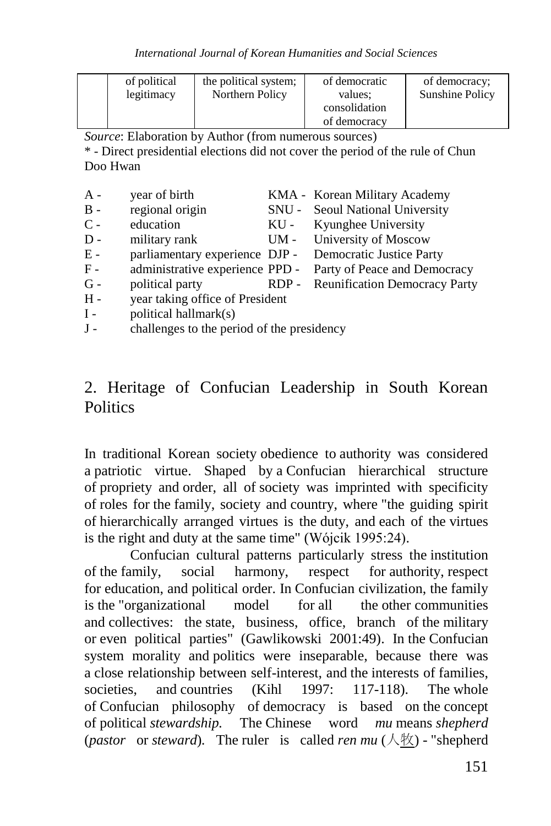| of political | the political system; | of democratic | of democracy:   |
|--------------|-----------------------|---------------|-----------------|
| legitimacy   | Northern Policy       | values:       | Sunshine Policy |
|              |                       | consolidation |                 |
|              |                       | of democracy  |                 |

*Source*: Elaboration by Author (from numerous sources)

\* - Direct presidential elections did not cover the period of the rule of Chun Doo Hwan

| $A -$ | year of birth                                           |         | KMA - Korean Military Academy        |
|-------|---------------------------------------------------------|---------|--------------------------------------|
| $B -$ | regional origin                                         |         | SNU - Seoul National University      |
| $C -$ | education                                               |         | KU - Kyunghee University             |
| $D -$ | military rank                                           |         | UM - University of Moscow            |
| $E -$ | parliamentary experience DJP - Democratic Justice Party |         |                                      |
| $F -$ | administrative experience PPD -                         |         | Party of Peace and Democracy         |
| $G -$ | political party                                         | $RDP -$ | <b>Reunification Democracy Party</b> |
| $H -$ | year taking office of President                         |         |                                      |
| $I -$ | political hallmark(s)                                   |         |                                      |

J - challenges to the period of the presidency

#### 2. Heritage of Confucian Leadership in South Korean **Politics**

In traditional Korean society obedience to authority was considered a patriotic virtue. Shaped by a Confucian hierarchical structure of propriety and order, all of society was imprinted with specificity of roles for the family, society and country, where "the guiding spirit of hierarchically arranged virtues is the duty, and each of the virtues is the right and duty at the same time" (Wójcik 1995:24).

Confucian cultural patterns particularly stress the institution of the family, social harmony, respect for authority, respect for education, and political order. In Confucian civilization, the family is the "organizational model for all the other communities and collectives: the state, business, office, branch of the military or even political parties" (Gawlikowski 2001:49). In the Confucian system morality and politics were inseparable, because there was a close relationship between self-interest, and the interests of families, societies, and countries (Kihl 1997: 117-118). The whole of Confucian philosophy of democracy is based on the concept of political *stewardship.* The Chinese word *mu* means *shepherd* (*pastor* or *steward*). The ruler is called *[ren](https://translate.google.com/translate?hl=en&prev=_t&sl=pl&tl=en&u=http://www.mdbg.net/chindict/chindict.php%23%23##)*  $mu$  ( $\land$ 牧) - "shepherd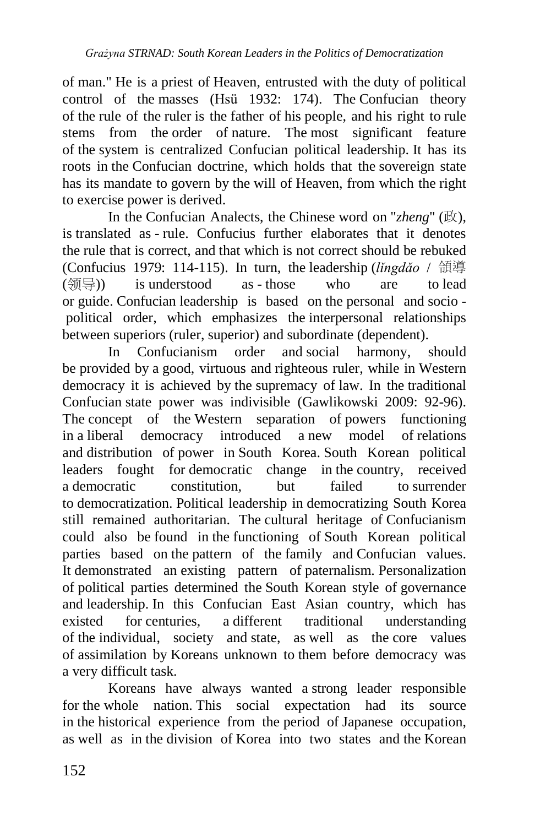of man." He is a priest of Heaven, entrusted with the duty of political control of the masses (Hsü 1932: 174). The Confucian theory of the rule of the ruler is the father of his people, and his right to rule stems from the order of nature. The most significant feature of the system is centralized Confucian political leadership. It has its roots in the Confucian doctrine, which holds that the sovereign state has its mandate to govern by the will of Heaven, from which the right to exercise power is derived.

In the Confucian Analects, the Chinese word on "*zheng*" (政), is translated as - rule. Confucius further elaborates that it denotes the rule that is correct, and that which is not correct should be rebuked (Confucius 1979: 114-115). In turn, the leadership (*lǐngdǎo* / 領導 (领导) is understood as - those who are to lead or guide. Confucian leadership is based on the personal and socio political order, which emphasizes the interpersonal relationships between superiors (ruler, superior) and subordinate (dependent).

In Confucianism order and social harmony, should be provided by a good, virtuous and righteous ruler, while in Western democracy it is achieved by the supremacy of law. In the traditional Confucian state power was indivisible (Gawlikowski 2009: 92-96). The concept of the Western separation of powers functioning in a liberal democracy introduced a new model of relations and distribution of power in South Korea. South Korean political leaders fought for democratic change in the country, received a democratic constitution, but failed to surrender to democratization. Political leadership in democratizing South Korea still remained authoritarian. The cultural heritage of Confucianism could also be found in the functioning of South Korean political parties based on the pattern of the family and Confucian values. It demonstrated an existing pattern of paternalism. Personalization of political parties determined the South Korean style of governance and leadership. In this Confucian East Asian country, which has existed for centuries, a different traditional understanding of the individual, society and state, as well as the core values of assimilation by Koreans unknown to them before democracy was a very difficult task.

Koreans have always wanted a strong leader responsible for the whole nation. This social expectation had its source in the historical experience from the period of Japanese occupation, as well as in the division of Korea into two states and the Korean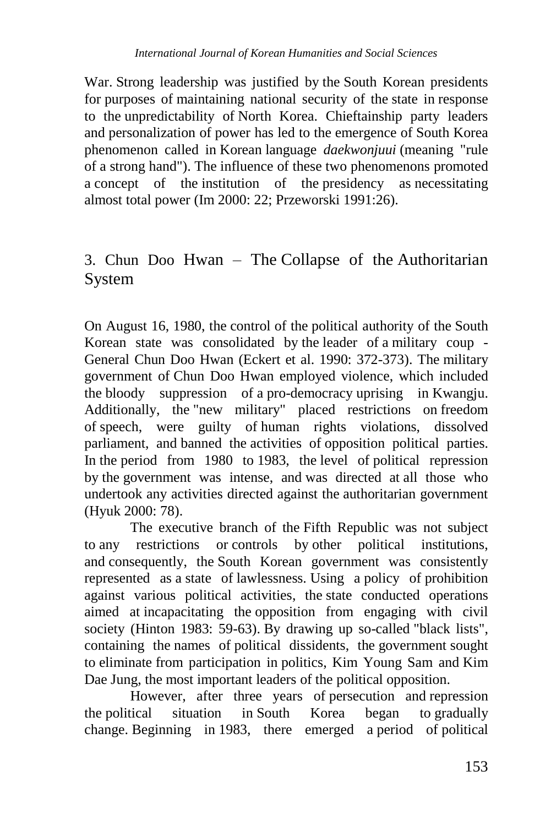War. Strong leadership was justified by the South Korean presidents for purposes of maintaining national security of the state in response to the unpredictability of North Korea. Chieftainship party leaders and personalization of power has led to the emergence of South Korea phenomenon called in Korean language *daekwonjuui* (meaning "rule of a strong hand"). The influence of these two phenomenons promoted a concept of the institution of the presidency as necessitating almost total power (Im 2000: 22; Przeworski 1991:26).

### 3. Chun Doo Hwan – The Collapse of the Authoritarian System

On August 16, 1980, the control of the political authority of the South Korean state was consolidated by the leader of a military coup - General Chun Doo Hwan (Eckert et al. 1990: 372-373). The military government of Chun Doo Hwan employed violence, which included the bloody suppression of a pro-democracy uprising in Kwangju. Additionally, the "new military" placed restrictions on freedom of speech, were guilty of human rights violations, dissolved parliament, and banned the activities of opposition political parties. In the period from 1980 to 1983, the level of political repression by the government was intense, and was directed at all those who undertook any activities directed against the authoritarian government (Hyuk 2000: 78).

The executive branch of the Fifth Republic was not subject to any restrictions or controls by other political institutions, and consequently, the South Korean government was consistently represented as a state of lawlessness. Using a policy of prohibition against various political activities, the state conducted operations aimed at incapacitating the opposition from engaging with civil society (Hinton 1983: 59-63). By drawing up so-called "black lists", containing the names of political dissidents, the government sought to eliminate from participation in politics, Kim Young Sam and Kim Dae Jung, the most important leaders of the political opposition.

However, after three years of persecution and repression the political situation in South Korea began to gradually change. Beginning in 1983, there emerged a period of political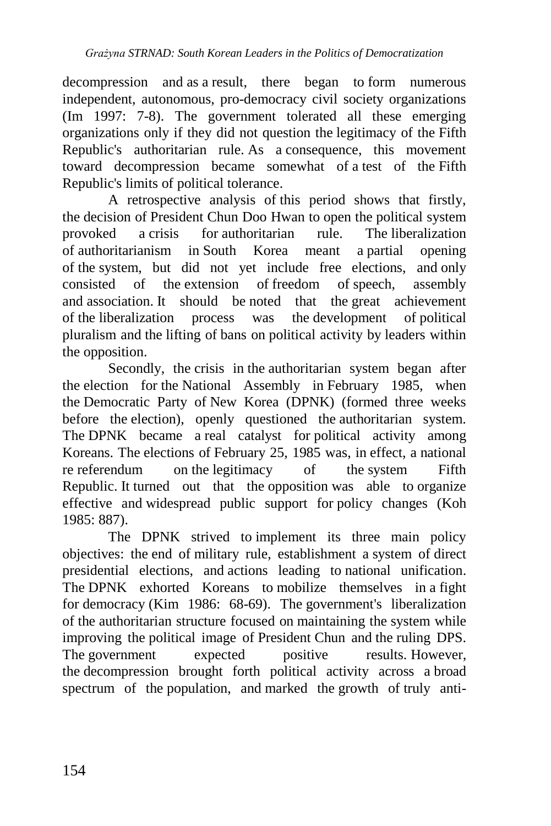decompression and as a result, there began to form numerous independent, autonomous, pro-democracy civil society organizations (Im 1997: 7-8). The government tolerated all these emerging organizations only if they did not question the legitimacy of the Fifth Republic's authoritarian rule. As a consequence, this movement toward decompression became somewhat of a test of the Fifth Republic's limits of political tolerance.

A retrospective analysis of this period shows that firstly, the decision of President Chun Doo Hwan to open the political system provoked a crisis for authoritarian rule. The liberalization of authoritarianism in South Korea meant a partial opening of the system, but did not yet include free elections, and only consisted of the extension of freedom of speech, assembly and association. It should be noted that the great achievement of the liberalization process was the development of political pluralism and the lifting of bans on political activity by leaders within the opposition.

Secondly, the crisis in the authoritarian system began after the election for the National Assembly in February 1985, when the Democratic Party of New Korea (DPNK) (formed three weeks before the election), openly questioned the authoritarian system. The DPNK became a real catalyst for political activity among Koreans. The elections of February 25, 1985 was, in effect, a national re referendum on the legitimacy of the system Fifth Republic. It turned out that the opposition was able to organize effective and widespread public support for policy changes (Koh 1985: 887).

The DPNK strived to implement its three main policy objectives: the end of military rule, establishment a system of direct presidential elections, and actions leading to national unification. The DPNK exhorted Koreans to mobilize themselves in a fight for democracy (Kim 1986: 68-69). The government's liberalization of the authoritarian structure focused on maintaining the system while improving the political image of President Chun and the ruling DPS. The government expected positive results. However, the decompression brought forth political activity across a broad spectrum of the population, and marked the growth of truly anti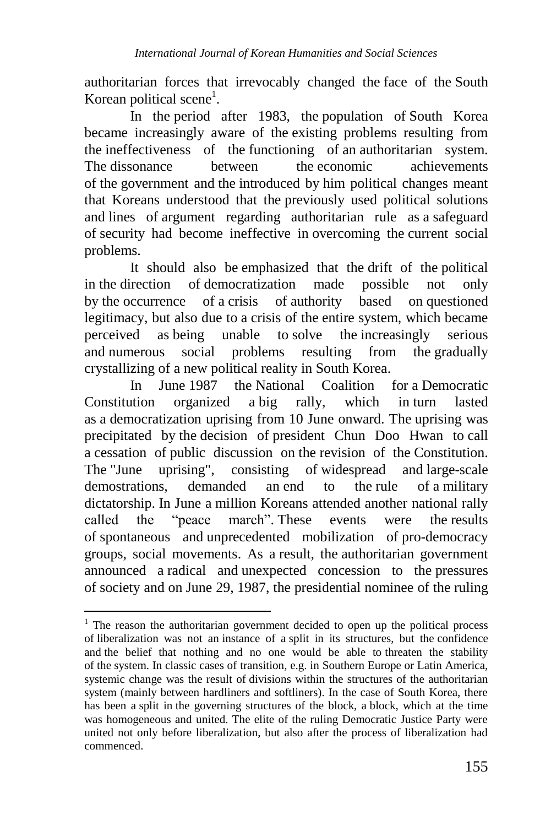authoritarian forces that irrevocably changed the face of the South Korean political scene<sup>1</sup>.

In the period after 1983, the population of South Korea became increasingly aware of the existing problems resulting from the ineffectiveness of the functioning of an authoritarian system. The dissonance between the economic achievements of the government and the introduced by him political changes meant that Koreans understood that the previously used political solutions and lines of argument regarding authoritarian rule as a safeguard of security had become ineffective in overcoming the current social problems.

It should also be emphasized that the drift of the political in the direction of democratization made possible not only by the occurrence of a crisis of authority based on questioned legitimacy, but also due to a crisis of the entire system, which became perceived as being unable to solve the increasingly serious and numerous social problems resulting from the gradually crystallizing of a new political reality in South Korea.

In June 1987 the National Coalition for a Democratic Constitution organized a big rally, which in turn lasted as a democratization uprising from 10 June onward. The uprising was precipitated by the decision of president Chun Doo Hwan to call a cessation of public discussion on the revision of the Constitution. The "June uprising", consisting of widespread and large-scale demostrations, demanded an end to the rule of a military dictatorship. In June a million Koreans attended another national rally called the "peace march". These events were the results of spontaneous and unprecedented mobilization of pro-democracy groups, social movements. As a result, the authoritarian government announced a radical and unexpected concession to the pressures of society and on June 29, 1987, the presidential nominee of the ruling

<u>.</u>

 $1$  The reason the authoritarian government decided to open up the political process of liberalization was not an instance of a split in its structures, but the confidence and the belief that nothing and no one would be able to threaten the stability of the system. In classic cases of transition, e.g. in Southern Europe or Latin America, systemic change was the result of divisions within the structures of the authoritarian system (mainly between hardliners and softliners). In the case of South Korea, there has been a split in the governing structures of the block, a block, which at the time was homogeneous and united. The elite of the ruling Democratic Justice Party were united not only before liberalization, but also after the process of liberalization had commenced.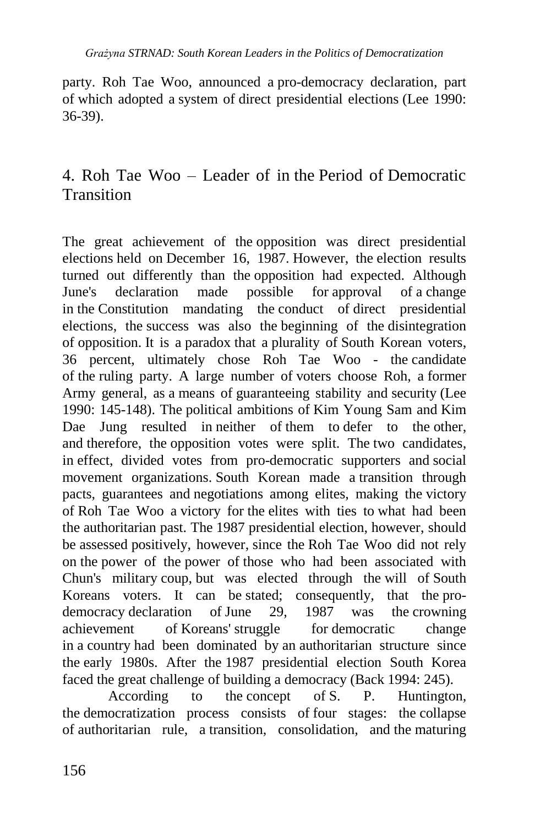party. Roh Tae Woo, announced a pro-democracy declaration, part of which adopted a system of direct presidential elections (Lee 1990: 36-39).

# 4. Roh Tae Woo – Leader of in the Period of Democratic Transition

The great achievement of the opposition was direct presidential elections held on December 16, 1987. However, the election results turned out differently than the opposition had expected. Although June's declaration made possible for approval of a change in the Constitution mandating the conduct of direct presidential elections, the success was also the beginning of the disintegration of opposition. It is a paradox that a plurality of South Korean voters, 36 percent, ultimately chose Roh Tae Woo - the candidate of the ruling party. A large number of voters choose Roh, a former Army general, as a means of guaranteeing stability and security (Lee 1990: 145-148). The political ambitions of Kim Young Sam and Kim Dae Jung resulted in neither of them to defer to the other, and therefore, the opposition votes were split. The two candidates, in effect, divided votes from pro-democratic supporters and social movement organizations. South Korean made a transition through pacts, guarantees and negotiations among elites, making the victory of Roh Tae Woo a victory for the elites with ties to what had been the authoritarian past. The 1987 presidential election, however, should be assessed positively, however, since the Roh Tae Woo did not rely on the power of the power of those who had been associated with Chun's military coup, but was elected through the will of South Koreans voters. It can be stated; consequently, that the prodemocracy declaration of June 29, 1987 was the crowning achievement of Koreans' struggle for democratic change in a country had been dominated by an authoritarian structure since the early 1980s. After the 1987 presidential election South Korea faced the great challenge of building a democracy (Back 1994: 245).

According to the concept of S. P. Huntington, the democratization process consists of four stages: the collapse of authoritarian rule, a transition, consolidation, and the maturing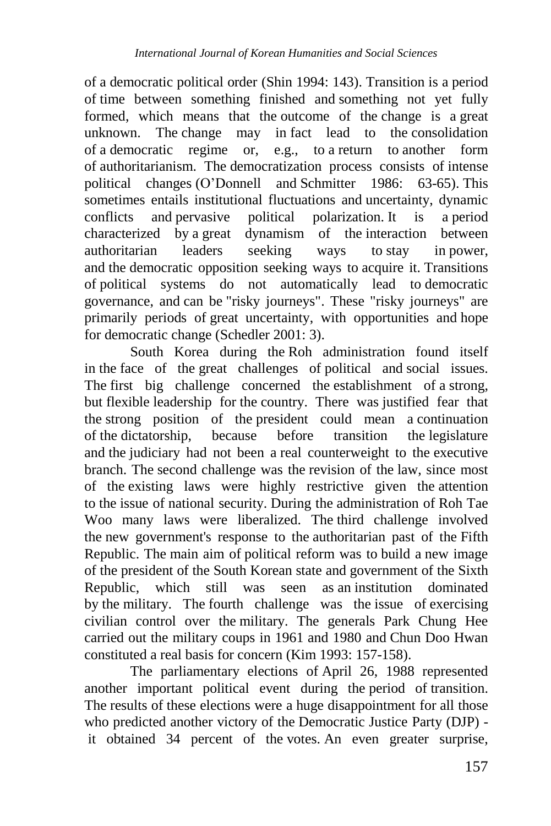of a democratic political order (Shin 1994: 143). Transition is a period of time between something finished and something not yet fully formed, which means that the outcome of the change is a great unknown. The change may in fact lead to the consolidation of a democratic regime or, e.g., to a return to another form of authoritarianism. The democratization process consists of intense political changes (O'Donnell and Schmitter 1986: 63-65). This sometimes entails institutional fluctuations and uncertainty, dynamic conflicts and pervasive political polarization. It is a period characterized by a great dynamism of the interaction between authoritarian leaders seeking ways to stay in power, and the democratic opposition seeking ways to acquire it. Transitions of political systems do not automatically lead to democratic governance, and can be "risky journeys". These "risky journeys" are primarily periods of great uncertainty, with opportunities and hope for democratic change (Schedler 2001: 3).

South Korea during the Roh administration found itself in the face of the great challenges of political and social issues. The first big challenge concerned the establishment of a strong, but flexible leadership for the country. There was justified fear that the strong position of the president could mean a continuation of the dictatorship, because before transition the legislature and the judiciary had not been a real counterweight to the executive branch. The second challenge was the revision of the law, since most of the existing laws were highly restrictive given the attention to the issue of national security. During the administration of Roh Tae Woo many laws were liberalized. The third challenge involved the new government's response to the authoritarian past of the Fifth Republic. The main aim of political reform was to build a new image of the president of the South Korean state and government of the Sixth Republic, which still was seen as an institution dominated by the military. The fourth challenge was the issue of exercising civilian control over the military. The generals Park Chung Hee carried out the military coups in 1961 and 1980 and Chun Doo Hwan constituted a real basis for concern (Kim 1993: 157-158).

The parliamentary elections of April 26, 1988 represented another important political event during the period of transition. The results of these elections were a huge disappointment for all those who predicted another victory of the Democratic Justice Party (DJP) it obtained 34 percent of the votes. An even greater surprise,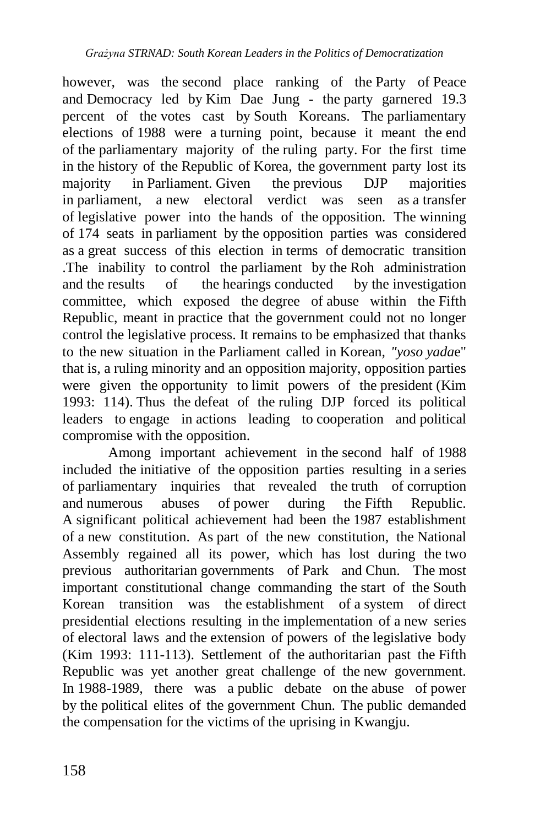however, was the second place ranking of the Party of Peace and Democracy led by Kim Dae Jung - the party garnered 19.3 percent of the votes cast by South Koreans. The parliamentary elections of 1988 were a turning point, because it meant the end of the parliamentary majority of the ruling party. For the first time in the history of the Republic of Korea, the government party lost its majority in Parliament. Given the previous DJP majorities in parliament, a new electoral verdict was seen as a transfer of legislative power into the hands of the opposition. The winning of 174 seats in parliament by the opposition parties was considered as a great success of this election in terms of democratic transition .The inability to control the parliament by the Roh administration and the results of the hearings conducted by the investigation committee, which exposed the degree of abuse within the Fifth Republic, meant in practice that the government could not no longer control the legislative process. It remains to be emphasized that thanks to the new situation in the Parliament called in Korean*, "yoso yada*e" that is, a ruling minority and an opposition majority, opposition parties were given the opportunity to limit powers of the president (Kim 1993: 114). Thus the defeat of the ruling DJP forced its political leaders to engage in actions leading to cooperation and political compromise with the opposition.

Among important achievement in the second half of 1988 included the initiative of the opposition parties resulting in a series of parliamentary inquiries that revealed the truth of corruption and numerous abuses of power during the Fifth Republic. A significant political achievement had been the 1987 establishment of a new constitution. As part of the new constitution, the National Assembly regained all its power, which has lost during the two previous authoritarian governments of Park and Chun. The most important constitutional change commanding the start of the South Korean transition was the establishment of a system of direct presidential elections resulting in the implementation of a new series of electoral laws and the extension of powers of the legislative body (Kim 1993: 111-113). Settlement of the authoritarian past the Fifth Republic was yet another great challenge of the new government. In 1988-1989, there was a public debate on the abuse of power by the political elites of the government Chun. The public demanded the compensation for the victims of the uprising in Kwangju.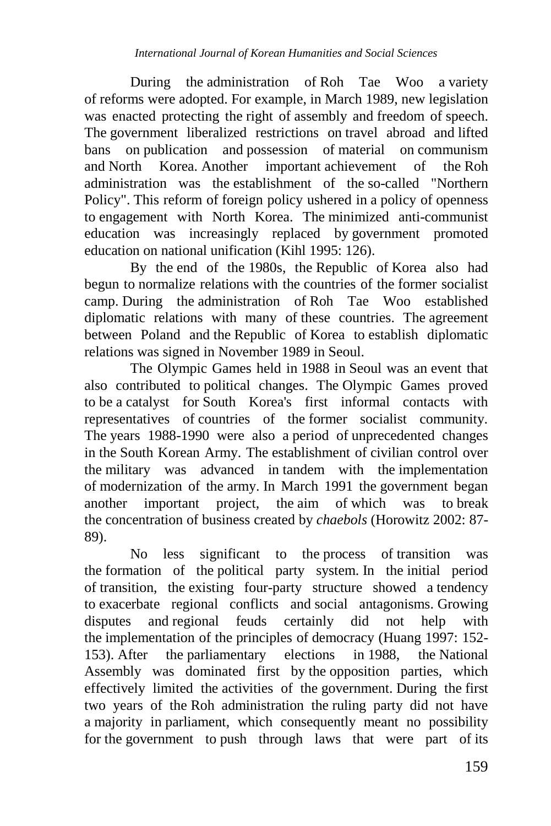During the administration of Roh Tae Woo a variety of reforms were adopted. For example, in March 1989, new legislation was enacted protecting the right of assembly and freedom of speech. The government liberalized restrictions on travel abroad and lifted bans on publication and possession of material on communism and North Korea. Another important achievement of the Roh administration was the establishment of the so-called "Northern Policy". This reform of foreign policy ushered in a policy of openness to engagement with North Korea. The minimized anti-communist education was increasingly replaced by government promoted education on national unification (Kihl 1995: 126).

By the end of the 1980s, the Republic of Korea also had begun to normalize relations with the countries of the former socialist camp. During the administration of Roh Tae Woo established diplomatic relations with many of these countries. The agreement between Poland and the Republic of Korea to establish diplomatic relations was signed in November 1989 in Seoul.

The Olympic Games held in 1988 in Seoul was an event that also contributed to political changes. The Olympic Games proved to be a catalyst for South Korea's first informal contacts with representatives of countries of the former socialist community. The years 1988-1990 were also a period of unprecedented changes in the South Korean Army. The establishment of civilian control over the military was advanced in tandem with the implementation of modernization of the army. In March 1991 the government began another important project, the aim of which was to break the concentration of business created by *chaebols* (Horowitz 2002: 87- 89).

No less significant to the process of transition was the formation of the political party system. In the initial period of transition, the existing four-party structure showed a tendency to exacerbate regional conflicts and social antagonisms. Growing disputes and regional feuds certainly did not help with the implementation of the principles of democracy (Huang 1997: 152- 153). After the parliamentary elections in 1988, the National Assembly was dominated first by the opposition parties, which effectively limited the activities of the government. During the first two years of the Roh administration the ruling party did not have a majority in parliament, which consequently meant no possibility for the government to push through laws that were part of its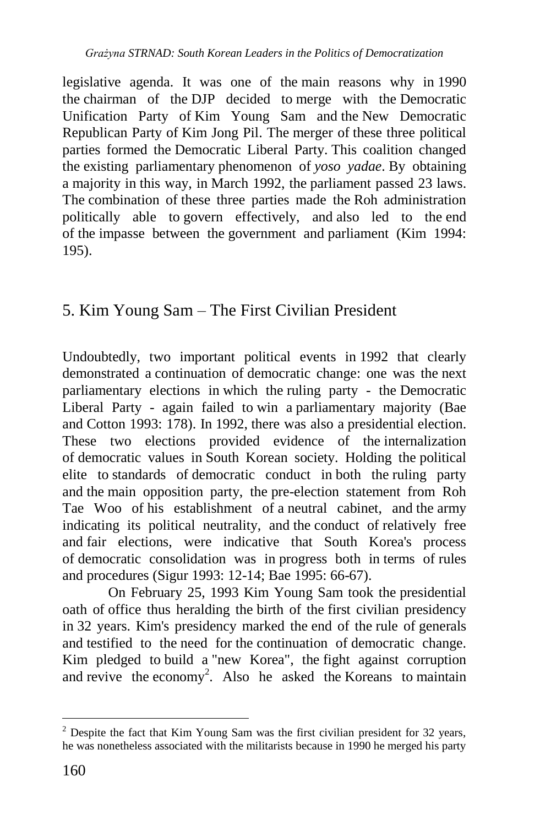legislative agenda. It was one of the main reasons why in 1990 the chairman of the DJP decided to merge with the Democratic Unification Party of Kim Young Sam and the New Democratic Republican Party of Kim Jong Pil. The merger of these three political parties formed the Democratic Liberal Party. This coalition changed the existing parliamentary phenomenon of *yoso yadae*. By obtaining a majority in this way, in March 1992, the parliament passed 23 laws. The combination of these three parties made the Roh administration politically able to govern effectively, and also led to the end of the impasse between the government and parliament (Kim 1994: 195).

# 5. Kim Young Sam – The First Civilian President

Undoubtedly, two important political events in 1992 that clearly demonstrated a continuation of democratic change: one was the next parliamentary elections in which the ruling party - the Democratic Liberal Party - again failed to win a parliamentary majority (Bae and Cotton 1993: 178). In 1992, there was also a presidential election. These two elections provided evidence of the internalization of democratic values in South Korean society. Holding the political elite to standards of democratic conduct in both the ruling party and the main opposition party, the pre-election statement from Roh Tae Woo of his establishment of a neutral cabinet, and the army indicating its political neutrality, and the conduct of relatively free and fair elections, were indicative that South Korea's process of democratic consolidation was in progress both in terms of rules and procedures (Sigur 1993: 12-14; Bae 1995: 66-67).

On February 25, 1993 Kim Young Sam took the presidential oath of office thus heralding the birth of the first civilian presidency in 32 years. Kim's presidency marked the end of the rule of generals and testified to the need for the continuation of democratic change. Kim pledged to build a "new Korea", the fight against corruption and revive the economy<sup>2</sup>. Also he asked the Koreans to maintain

 $\overline{a}$ 

 $2$  Despite the fact that Kim Young Sam was the first civilian president for 32 years, he was nonetheless associated with the militarists because in 1990 he merged his party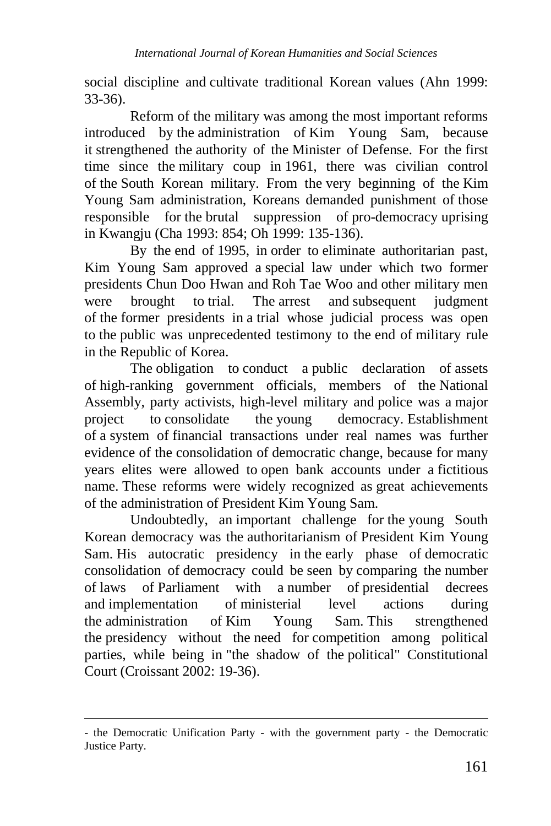social discipline and cultivate traditional Korean values (Ahn 1999: 33-36).

Reform of the military was among the most important reforms introduced by the administration of Kim Young Sam, because it strengthened the authority of the Minister of Defense. For the first time since the military coup in 1961, there was civilian control of the South Korean military. From the very beginning of the Kim Young Sam administration, Koreans demanded punishment of those responsible for the brutal suppression of pro-democracy uprising in Kwangju (Cha 1993: 854; Oh 1999: 135-136).

By the end of 1995, in order to eliminate authoritarian past, Kim Young Sam approved a special law under which two former presidents Chun Doo Hwan and Roh Tae Woo and other military men were brought to trial. The arrest and subsequent judgment of the former presidents in a trial whose judicial process was open to the public was unprecedented testimony to the end of military rule in the Republic of Korea.

The obligation to conduct a public declaration of assets of high-ranking government officials, members of the National Assembly, party activists, high-level military and police was a major project to consolidate the young democracy. Establishment of a system of financial transactions under real names was further evidence of the consolidation of democratic change, because for many years elites were allowed to open bank accounts under a fictitious name. These reforms were widely recognized as great achievements of the administration of President Kim Young Sam.

Undoubtedly, an important challenge for the young South Korean democracy was the authoritarianism of President Kim Young Sam. His autocratic presidency in the early phase of democratic consolidation of democracy could be seen by comparing the number of laws of Parliament with a number of presidential decrees and implementation of ministerial level actions during the administration of Kim Young Sam. This strengthened the presidency without the need for competition among political parties, while being in "the shadow of the political" Constitutional Court (Croissant 2002: 19-36).

<u>.</u>

<sup>-</sup> the Democratic Unification Party - with the government party - the Democratic Justice Party.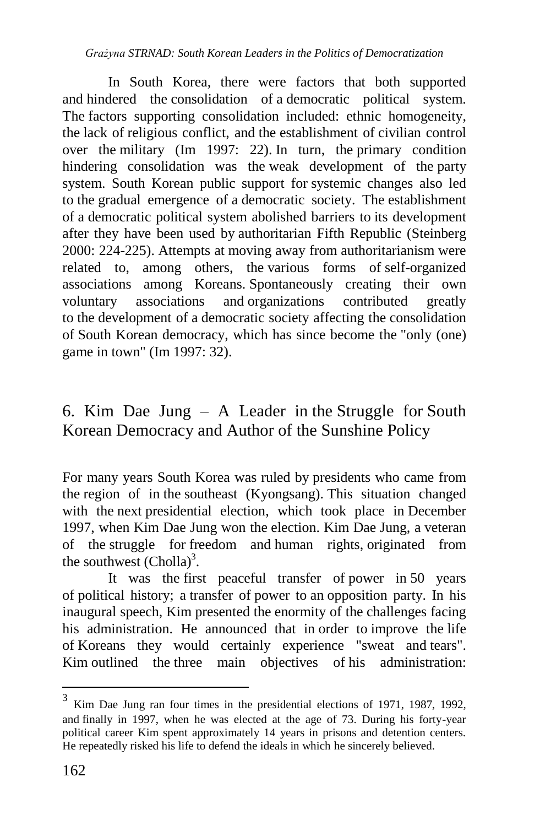In South Korea, there were factors that both supported and hindered the consolidation of a democratic political system. The factors supporting consolidation included: ethnic homogeneity, the lack of religious conflict, and the establishment of civilian control over the military (Im 1997: 22). In turn, the primary condition hindering consolidation was the weak development of the party system. South Korean public support for systemic changes also led to the gradual emergence of a democratic society. The establishment of a democratic political system abolished barriers to its development after they have been used by authoritarian Fifth Republic (Steinberg 2000: 224-225). Attempts at moving away from authoritarianism were related to, among others, the various forms of self-organized associations among Koreans. Spontaneously creating their own voluntary associations and organizations contributed greatly to the development of a democratic society affecting the consolidation of South Korean democracy, which has since become the "only (one) game in town" (Im 1997: 32).

# 6. Kim Dae Jung – A Leader in the Struggle for South Korean Democracy and Author of the Sunshine Policy

For many years South Korea was ruled by presidents who came from the region of in the southeast (Kyongsang). This situation changed with the next presidential election, which took place in December 1997, when Kim Dae Jung won the election. Kim Dae Jung, a veteran of the struggle for freedom and human rights, originated from the southwest  $(Cholla)^3$ .

It was the first peaceful transfer of power in 50 years of political history; a transfer of power to an opposition party. In his inaugural speech, Kim presented the enormity of the challenges facing his administration. He announced that in order to improve the life of Koreans they would certainly experience "sweat and tears". Kim outlined the three main objectives of his administration:

 $\overline{a}$ 

<sup>&</sup>lt;sup>3</sup> Kim Dae Jung ran four times in the presidential elections of 1971, 1987, 1992, and finally in 1997, when he was elected at the age of 73. During his forty-year political career Kim spent approximately 14 years in prisons and detention centers. He repeatedly risked his life to defend the ideals in which he sincerely believed.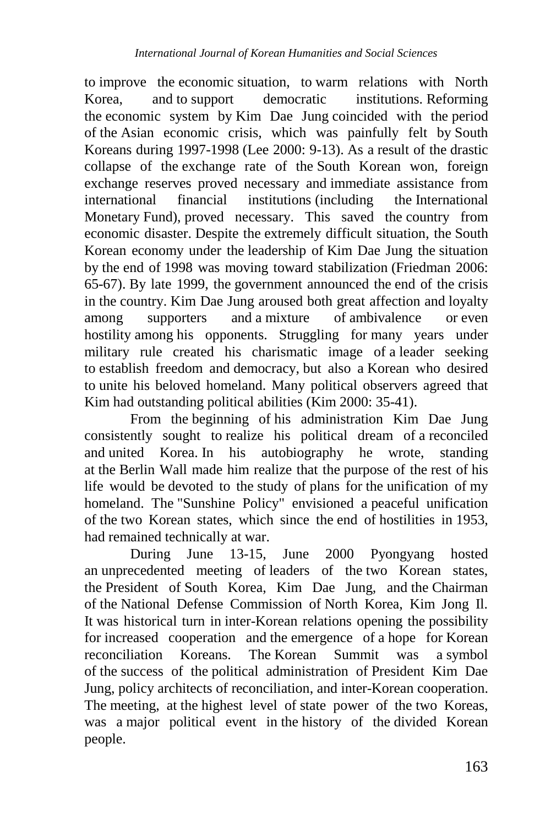to improve the economic situation, to warm relations with North Korea, and to support democratic institutions. Reforming the economic system by Kim Dae Jung coincided with the period of the Asian economic crisis, which was painfully felt by South Koreans during 1997-1998 (Lee 2000: 9-13). As a result of the drastic collapse of the exchange rate of the South Korean won, foreign exchange reserves proved necessary and immediate assistance from international financial institutions (including the International Monetary Fund), proved necessary. This saved the country from economic disaster. Despite the extremely difficult situation, the South Korean economy under the leadership of Kim Dae Jung the situation by the end of 1998 was moving toward stabilization (Friedman 2006: 65-67). By late 1999, the government announced the end of the crisis in the country. Kim Dae Jung aroused both great affection and loyalty among supporters and a mixture of ambivalence or even hostility among his opponents. Struggling for many years under military rule created his charismatic image of a leader seeking to establish freedom and democracy, but also a Korean who desired to unite his beloved homeland. Many political observers agreed that Kim had outstanding political abilities (Kim 2000: 35-41).

From the beginning of his administration Kim Dae Jung consistently sought to realize his political dream of a reconciled and united Korea. In his autobiography he wrote, standing at the Berlin Wall made him realize that the purpose of the rest of his life would be devoted to the study of plans for the unification of my homeland. The "Sunshine Policy" envisioned a peaceful unification of the two Korean states, which since the end of hostilities in 1953, had remained technically at war.

During June 13-15, June 2000 Pyongyang hosted an unprecedented meeting of leaders of the two Korean states, the President of South Korea, Kim Dae Jung, and the Chairman of the National Defense Commission of North Korea, Kim Jong Il. It was historical turn in inter-Korean relations opening the possibility for increased cooperation and the emergence of a hope for Korean reconciliation Koreans. The Korean Summit was a symbol of the success of the political administration of President Kim Dae Jung, policy architects of reconciliation, and inter-Korean cooperation. The meeting, at the highest level of state power of the two Koreas, was a major political event in the history of the divided Korean people.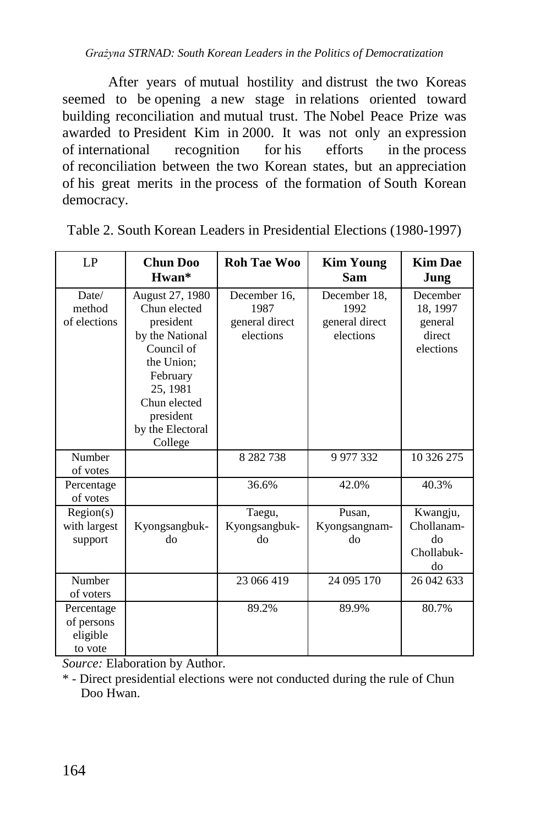*Grażyna STRNAD: South Korean Leaders in the Politics of Democratization*

After years of mutual hostility and distrust the two Koreas seemed to be opening a new stage in relations oriented toward building reconciliation and mutual trust. The Nobel Peace Prize was awarded to President Kim in 2000. It was not only an expression of international recognition for his efforts in the process of reconciliation between the two Korean states, but an appreciation of his great merits in the process of the formation of South Korean democracy.

| LP                                              | <b>Chun Doo</b><br>$Hwan*$                                                                                                                                                      | <b>Roh Tae Woo</b>                                  | <b>Kim Young</b><br><b>Sam</b>                      | <b>Kim Dae</b><br>Jung                                 |
|-------------------------------------------------|---------------------------------------------------------------------------------------------------------------------------------------------------------------------------------|-----------------------------------------------------|-----------------------------------------------------|--------------------------------------------------------|
| Date/<br>method<br>of elections                 | August 27, 1980<br>Chun elected<br>president<br>by the National<br>Council of<br>the Union;<br>February<br>25, 1981<br>Chun elected<br>president<br>by the Electoral<br>College | December 16.<br>1987<br>general direct<br>elections | December 18.<br>1992<br>general direct<br>elections | December<br>18, 1997<br>general<br>direct<br>elections |
| Number<br>of votes                              |                                                                                                                                                                                 | 8 2 8 2 7 3 8                                       | 9 977 332                                           | 10 326 275                                             |
| Percentage<br>of votes                          |                                                                                                                                                                                 | 36.6%                                               | 42.0%                                               | 40.3%                                                  |
| Region(s)<br>with largest<br>support            | Kyongsangbuk-<br>do                                                                                                                                                             | Taegu,<br>Kyongsangbuk-<br>do                       | Pusan,<br>Kyongsangnam-<br>do                       | Kwangju,<br>Chollanam-<br>do<br>Chollabuk-<br>do       |
| Number<br>of voters                             |                                                                                                                                                                                 | 23 066 419                                          | 24 095 170                                          | 26 042 633                                             |
| Percentage<br>of persons<br>eligible<br>to vote |                                                                                                                                                                                 | 89.2%                                               | 89.9%                                               | 80.7%                                                  |

Table 2. South Korean Leaders in Presidential Elections (1980-1997)

*Source:* Elaboration by Author.

\* - Direct presidential elections were not conducted during the rule of Chun Doo Hwan.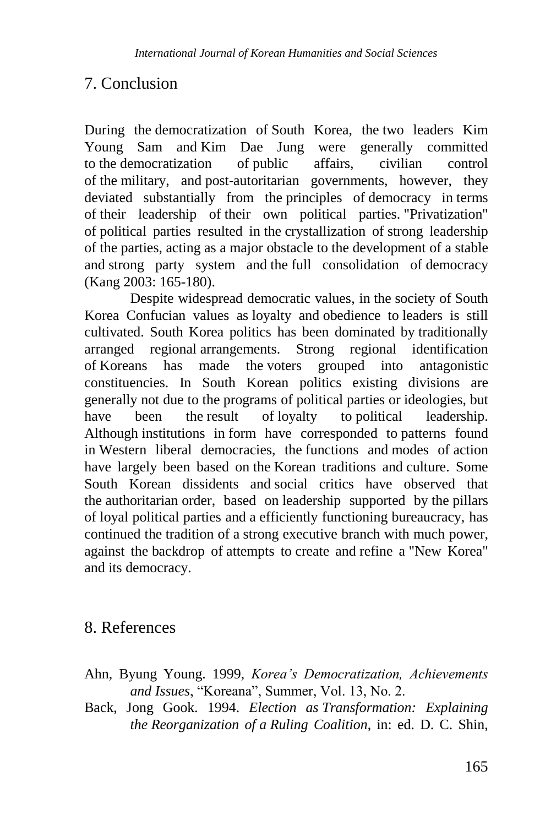### 7. Conclusion

During the democratization of South Korea, the two leaders Kim Young Sam and Kim Dae Jung were generally committed to the democratization of public affairs, civilian control of the military, and post-autoritarian governments, however, they deviated substantially from the principles of democracy in terms of their leadership of their own political parties. "Privatization" of political parties resulted in the crystallization of strong leadership of the parties, acting as a major obstacle to the development of a stable and strong party system and the full consolidation of democracy [\(Kang 2003: 165-180\).](https://translate.googleusercontent.com/translate_f#_ftn43)

Despite widespread democratic values, in the society of South Korea Confucian values as loyalty and obedience to leaders is still cultivated. South Korea politics has been dominated by traditionally arranged regional arrangements. Strong regional identification of Koreans has made the voters grouped into antagonistic constituencies. In South Korean politics existing divisions are generally not due to the programs of political parties or ideologies, but have been the result of loyalty to political leadership. Although institutions in form have corresponded to patterns found in Western liberal democracies, the functions and modes of action have largely been based on the Korean traditions and culture. Some South Korean dissidents and social critics have observed that the authoritarian order, based on leadership supported by the pillars of loyal political parties and a efficiently functioning bureaucracy, has continued the tradition of a strong executive branch with much power, against the backdrop of attempts to create and refine a "New Korea" and its democracy.

# 8. References

- Ahn, Byung Young. 1999, *Korea's Democratization, Achievements and Issues*, "Koreana", Summer, Vol. 13, No. 2.
- Back, Jong Gook. 1994. *Election as Transformation: Explaining the Reorganization of a Ruling Coalition*, in: ed. D. C. Shin,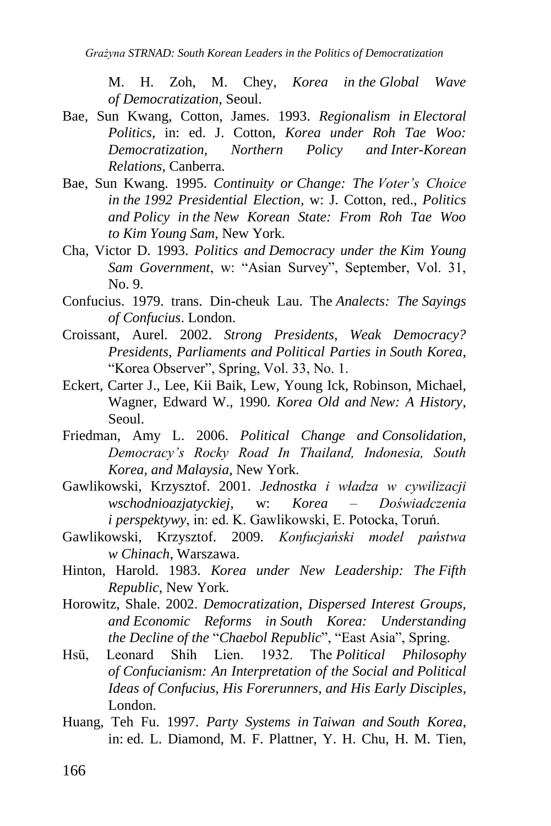M. H. Zoh, M. Chey, *Korea in the Global Wave of Democratization*, Seoul.

- Bae, Sun Kwang, Cotton, James. 1993. *Regionalism in Electoral Politics*, in: ed. J. Cotton, *Korea under Roh Tae Woo: Democratization, Northern Policy and Inter-Korean Relations*, Canberra.
- Bae, Sun Kwang. 1995. *Continuity or Change: The Voter's Choice in the 1992 Presidential Election*, w: J. Cotton, red., *Politics and Policy in the New Korean State: From Roh Tae Woo to Kim Young Sam*, New York.
- Cha, Victor D. 1993. *Politics and Democracy under the Kim Young Sam Government*, w: "Asian Survey", September, Vol. 31, No. 9.
- Confucius. 1979. trans. Din-cheuk Lau. The *Analects: The Sayings of Confucius*. London.
- Croissant, Aurel. 2002. *Strong Presidents, Weak Democracy? Presidents, Parliaments and Political Parties in South Korea*, "Korea Observer", Spring, Vol. 33, No. 1.
- Eckert, Carter J., Lee, Kii Baik, Lew, Young Ick, Robinson, Michael, Wagner, Edward W., 1990. *Korea Old and New: A History*, Seoul.
- Friedman, Amy L. 2006. *Political Change and Consolidation, Democracy's Rocky Road In Thailand, Indonesia, South Korea, and Malaysia*, New York.
- Gawlikowski, Krzysztof. 2001. *Jednostka i władza w cywilizacji wschodnioazjatyckiej*, w: *Korea – Doświadczenia i perspektywy*, in: ed. K. Gawlikowski, E. Potocka, Toruń.
- Gawlikowski, Krzysztof. 2009. *Konfucjański model państwa w Chinach*, Warszawa.
- Hinton, Harold. 1983. *Korea under New Leadership: The Fifth Republic*, New York.
- Horowitz, Shale. 2002. *Democratization, Dispersed Interest Groups, and Economic Reforms in South Korea: Understanding the Decline of the* "*Chaebol Republic*", "East Asia", Spring.
- Hsü, Leonard Shih Lien. 1932. The *Political Philosophy of Confucianism: An Interpretation of the Social and Political Ideas of Confucius, His Forerunners, and His Early Disciples*, London.
- Huang*,* Teh Fu. 1997. *Party Systems in Taiwan and South Korea*, in: ed. L. Diamond, M. F. Plattner, Y. H. Chu, H. M. Tien,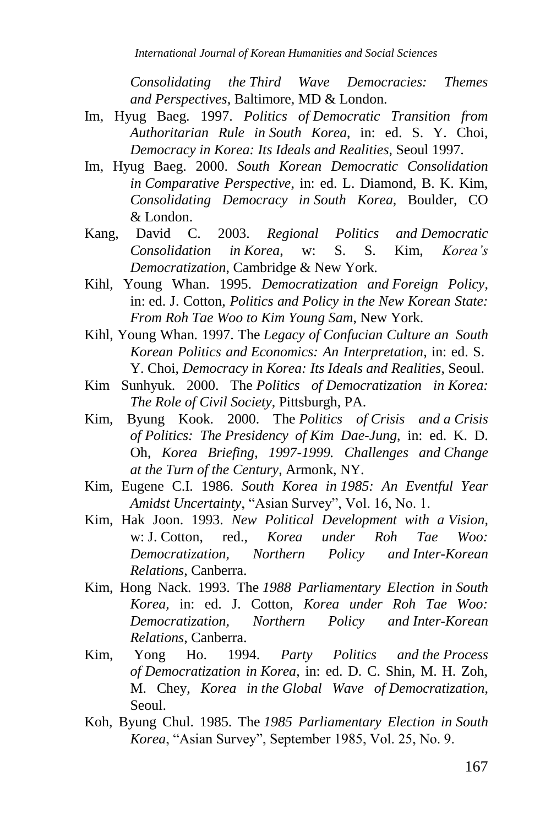*Consolidating the Third Wave Democracies: Themes and Perspectives*, Baltimore, MD & London.

- Im, Hyug Baeg. 1997. *Politics of Democratic Transition from Authoritarian Rule in South Korea*, in: ed. S. Y. Choi, *Democracy in Korea: Its Ideals and Realities*, Seoul 1997.
- Im, Hyug Baeg. 2000. *South Korean Democratic Consolidation in Comparative Perspective*, in: ed. L. Diamond, B. K. Kim, *Consolidating Democracy in South Korea*, Boulder, CO & London.
- Kang, David C. 2003. *Regional Politics and Democratic Consolidation in Korea*, w: S. S. Kim, *Korea's Democratization*, Cambridge & New York.
- Kihl, Young Whan. 1995. *Democratization and Foreign Policy*, in: ed. J. Cotton, *Politics and Policy in the New Korean State: From Roh Tae Woo to Kim Young Sam*, New York.
- Kihl, Young Whan. 1997. The *Legacy of Confucian Culture an South Korean Politics and Economics: An Interpretation*, in: ed. S. Y. Choi, *Democracy in Korea: Its Ideals and Realities*, Seoul.
- Kim Sunhyuk. 2000. The *Politics of Democratization in Korea: The Role of Civil Society*, Pittsburgh, PA.
- Kim, Byung Kook. 2000. The *Politics of Crisis and a Crisis of Politics: The Presidency of Kim Dae-Jung*, in: ed. K. D. Oh, *Korea Briefing, 1997-1999. Challenges and Change at the Turn of the Century*, Armonk, NY.
- Kim, Eugene C.I. 1986. *South Korea in 1985: An Eventful Year Amidst Uncertainty*, "Asian Survey", Vol. 16, No. 1.
- Kim, Hak Joon. 1993. *New Political Development with a Vision,*  w: J. Cotton, red., *Korea under Roh Tae Woo: Democratization, Northern Policy and Inter-Korean Relations*, Canberra.
- Kim, Hong Nack. 1993. The *1988 Parliamentary Election in South Korea,* in: ed. J. Cotton, *Korea under Roh Tae Woo: Democratization, Northern Policy and Inter-Korean Relations*, Canberra.
- Kim, Yong Ho. 1994. *Party Politics and the Process of Democratization in Korea*, in: ed. D. C. Shin, M. H. Zoh, M. Chey, *Korea in the Global Wave of Democratization*, Seoul.
- Koh, Byung Chul. 1985. The *1985 Parliamentary Election in South Korea*, "Asian Survey", September 1985, Vol. 25, No. 9.